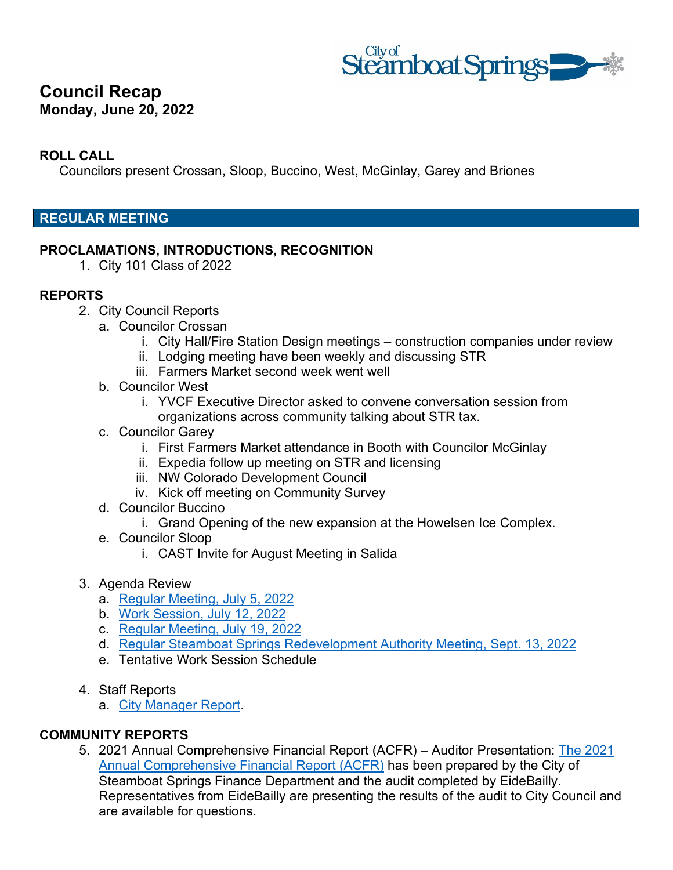

# **Council Recap Monday, June 20, 2022**

### **ROLL CALL**

Councilors present Crossan, Sloop, Buccino, West, McGinlay, Garey and Briones

### **REGULAR MEETING**

#### **PROCLAMATIONS, INTRODUCTIONS, RECOGNITION**

1. City 101 Class of 2022

#### **REPORTS**

- 2. City Council Reports
	- a. Councilor Crossan
		- i. City Hall/Fire Station Design meetings construction companies under review
		- ii. Lodging meeting have been weekly and discussing STR
		- iii. Farmers Market second week went well
	- b. Councilor West
		- i. YVCF Executive Director asked to convene conversation session from organizations across community talking about STR tax.
	- c. Councilor Garey
		- i. First Farmers Market attendance in Booth with Councilor McGinlay
		- ii. Expedia follow up meeting on STR and licensing
		- iii. NW Colorado Development Council
		- iv. Kick off meeting on Community Survey
	- d. Councilor Buccino
		- i. Grand Opening of the new expansion at the Howelsen Ice Complex.
	- e. Councilor Sloop
		- i. CAST Invite for August Meeting in Salida
- 3. Agenda Review
	- a. [Regular Meeting, July 5, 2022](https://docs.steamboatsprings.net/OnBaseAgendaOnline/Documents/ViewDocument/07_05_2022_AGENDA.DOC.pdf?meetingId=1454&documentType=Agenda&itemId=21916&publishId=28563&isSection=false)
	- b. [Work Session, July 12, 2022](https://docs.steamboatsprings.net/OnBaseAgendaOnline/Documents/ViewDocument/07_12_2022_WORKSESSION_AGENDA.DOC.pdf?meetingId=1454&documentType=Agenda&itemId=21917&publishId=28564&isSection=false)
	- c. [Regular Meeting, July 19, 2022](https://docs.steamboatsprings.net/OnBaseAgendaOnline/Documents/ViewDocument/07_19_2022_AGENDA.DOC.pdf?meetingId=1454&documentType=Agenda&itemId=21918&publishId=28565&isSection=false)
	- d. [Regular Steamboat Springs Redevelopment Authority Meeting, Sept. 13, 2022](https://docs.steamboatsprings.net/OnBaseAgendaOnline/Documents/ViewDocument/09_13_2022_SSRA_AGENDA.DOCX.pdf?meetingId=1454&documentType=Agenda&itemId=21919&publishId=28566&isSection=false)
	- e. [Tentative Work Session Schedule](https://docs.steamboatsprings.net/OnBaseAgendaOnline/Documents/ViewDocument/DRAFT_WORKSESSION_PLANNING_CALENDAR%20(15).DOCX.pdf?meetingId=1454&documentType=Agenda&itemId=21920&publishId=28567&isSection=false)
- 4. Staff Reports
	- a. [City Manager Report.](http://www.steamboatsprings.net/CMReport)

### **COMMUNITY REPORTS**

5. 2021 Annual Comprehensive Financial Report (ACFR) – Auditor Presentation: [The 2021](https://docs.steamboatsprings.net/OnBaseAgendaOnline/Documents/ViewDocument/ATTACH_3_FINAL%202021%20ACFR.PDF.pdf?meetingId=1454&documentType=Agenda&itemId=21907&publishId=28575&isSection=false)  [Annual Comprehensive Financial Report \(ACFR\)](https://docs.steamboatsprings.net/OnBaseAgendaOnline/Documents/ViewDocument/ATTACH_3_FINAL%202021%20ACFR.PDF.pdf?meetingId=1454&documentType=Agenda&itemId=21907&publishId=28575&isSection=false) has been prepared by the City of Steamboat Springs Finance Department and the audit completed by EideBailly. Representatives from EideBailly are presenting the results of the audit to City Council and are available for questions.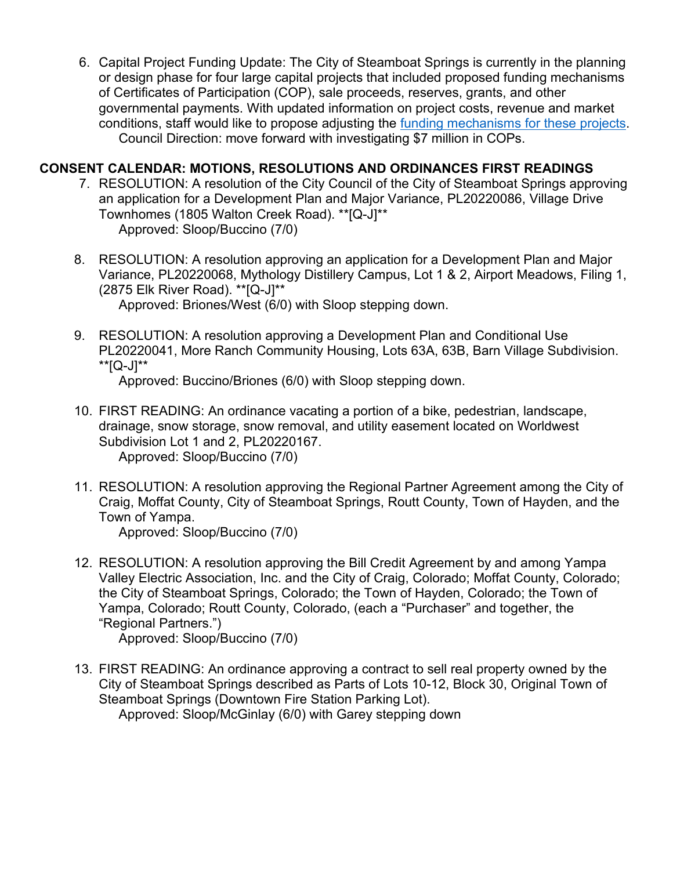6. Capital Project Funding Update: The City of Steamboat Springs is currently in the planning or design phase for four large capital projects that included proposed funding mechanisms of Certificates of Participation (COP), sale proceeds, reserves, grants, and other governmental payments. With updated information on project costs, revenue and market conditions, staff would like to propose adjusting the [funding mechanisms for these projects.](https://docs.steamboatsprings.net/OnBaseAgendaOnline/Documents/ViewDocument/ATTACH_1_2022_PROJECTFUNDING.PDF.pdf?meetingId=1454&documentType=Agenda&itemId=21909&publishId=28577&isSection=false) Council Direction: move forward with investigating \$7 million in COPs.

### **CONSENT CALENDAR: MOTIONS, RESOLUTIONS AND ORDINANCES FIRST READINGS**

- 7. RESOLUTION: A resolution of the City Council of the City of Steamboat Springs approving an application for a Development Plan and Major Variance, PL20220086, Village Drive Townhomes (1805 Walton Creek Road). \*\*[Q-J]\*\* Approved: Sloop/Buccino (7/0)
- 8. RESOLUTION: A resolution approving an application for a Development Plan and Major Variance, PL20220068, Mythology Distillery Campus, Lot 1 & 2, Airport Meadows, Filing 1, (2875 Elk River Road). \*\*[Q-J]\*\*

Approved: Briones/West (6/0) with Sloop stepping down.

9. RESOLUTION: A resolution approving a Development Plan and Conditional Use PL20220041, More Ranch Community Housing, Lots 63A, 63B, Barn Village Subdivision. \*\*[Q-J]\*\*

Approved: Buccino/Briones (6/0) with Sloop stepping down.

- 10. FIRST READING: An ordinance vacating a portion of a bike, pedestrian, landscape, drainage, snow storage, snow removal, and utility easement located on Worldwest Subdivision Lot 1 and 2, PL20220167. Approved: Sloop/Buccino (7/0)
- 11. RESOLUTION: A resolution approving the Regional Partner Agreement among the City of Craig, Moffat County, City of Steamboat Springs, Routt County, Town of Hayden, and the Town of Yampa.

Approved: Sloop/Buccino (7/0)

12. RESOLUTION: A resolution approving the Bill Credit Agreement by and among Yampa Valley Electric Association, Inc. and the City of Craig, Colorado; Moffat County, Colorado; the City of Steamboat Springs, Colorado; the Town of Hayden, Colorado; the Town of Yampa, Colorado; Routt County, Colorado, (each a "Purchaser" and together, the "Regional Partners.")

Approved: Sloop/Buccino (7/0)

13. FIRST READING: An ordinance approving a contract to sell real property owned by the City of Steamboat Springs described as Parts of Lots 10-12, Block 30, Original Town of Steamboat Springs (Downtown Fire Station Parking Lot).

Approved: Sloop/McGinlay (6/0) with Garey stepping down